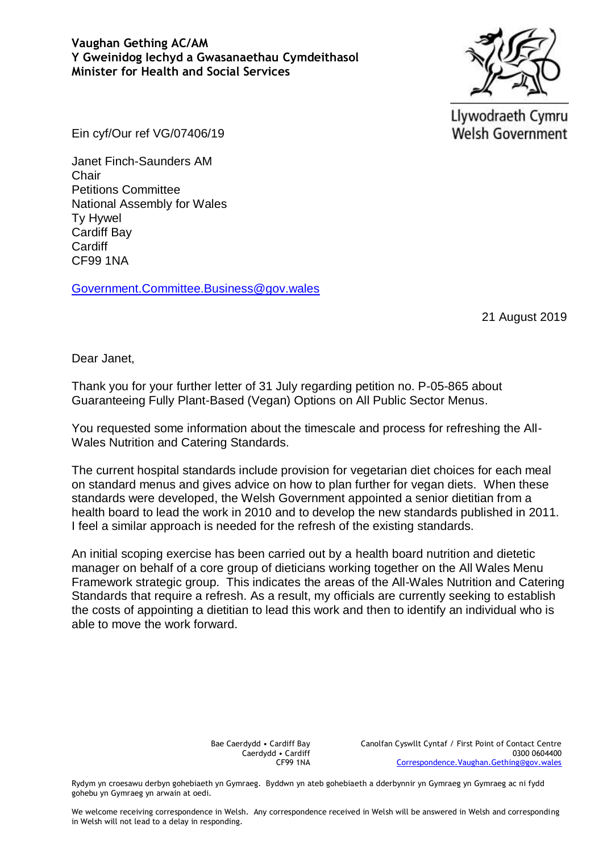## **Vaughan Gething AC/AM Y Gweinidog Iechyd a Gwasanaethau Cymdeithasol Minister for Health and Social Services**



Llywodraeth Cymru **Welsh Government** 

Ein cyf/Our ref VG/07406/19

Janet Finch-Saunders AM Chair Petitions Committee National Assembly for Wales Ty Hywel Cardiff Bay **Cardiff** CF99 1NA

Government.Committee.Business@gov.wales

21 August 2019

Dear Janet,

Thank you for your further letter of 31 July regarding petition no. P-05-865 about Guaranteeing Fully Plant-Based (Vegan) Options on All Public Sector Menus.

You requested some information about the timescale and process for refreshing the All-Wales Nutrition and Catering Standards.

The current hospital standards include provision for vegetarian diet choices for each meal on standard menus and gives advice on how to plan further for vegan diets. When these standards were developed, the Welsh Government appointed a senior dietitian from a health board to lead the work in 2010 and to develop the new standards published in 2011. I feel a similar approach is needed for the refresh of the existing standards.

An initial scoping exercise has been carried out by a health board nutrition and dietetic manager on behalf of a core group of dieticians working together on the All Wales Menu Framework strategic group. This indicates the areas of the All-Wales Nutrition and Catering Standards that require a refresh. As a result, my officials are currently seeking to establish the costs of appointing a dietitian to lead this work and then to identify an individual who is able to move the work forward.

> Bae Caerdydd • Cardiff Bay Caerdydd • Cardiff CF99 1NA

Canolfan Cyswllt Cyntaf / First Point of Contact Centre 0300 0604400 [Correspondence.Vaughan.Gething@gov.wales](mailto:Correspondence.Vaughan.Gething@gov.wales)

Rydym yn croesawu derbyn gohebiaeth yn Gymraeg. Byddwn yn ateb gohebiaeth a dderbynnir yn Gymraeg yn Gymraeg ac ni fydd gohebu yn Gymraeg yn arwain at oedi.

We welcome receiving correspondence in Welsh. Any correspondence received in Welsh will be answered in Welsh and corresponding in Welsh will not lead to a delay in responding.